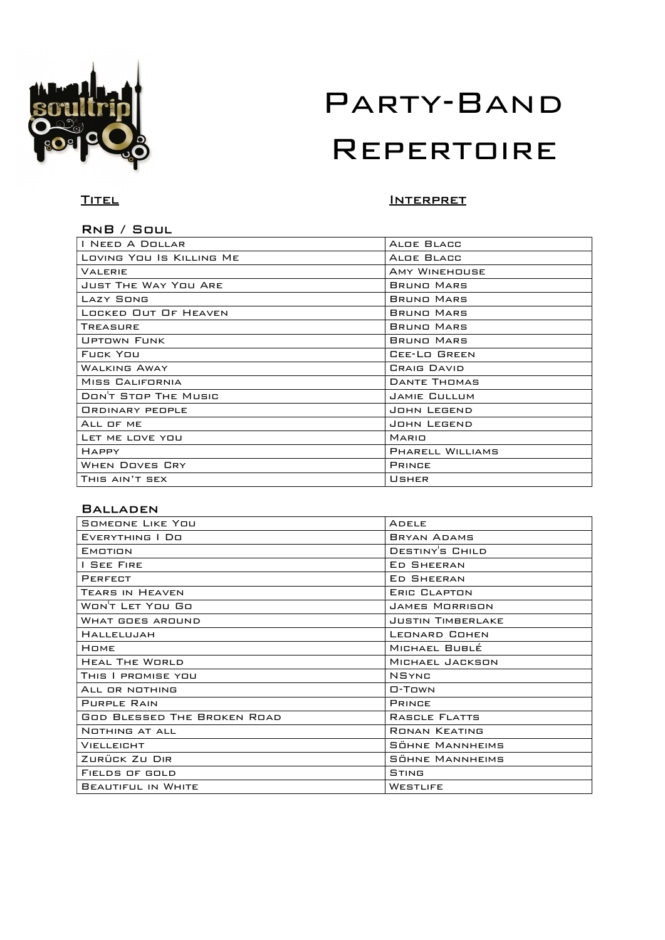

# TITEL **INTERPRET**

# RnB / Soul

| I NEED A DOLLAR             | ALDE BLACC                |
|-----------------------------|---------------------------|
| LOVING YOU IS KILLING ME    | ALDE BLACC                |
| <b>VALERIE</b>              | <b>AMY WINEHOUSE</b>      |
| <b>JUST THE WAY YOU ARE</b> | <b>BRUND MARS</b>         |
| <b>LAZY SONG</b>            | <b>BRUNO MARS</b>         |
| LOCKED OUT OF HEAVEN        | BRUND MARS                |
| TREASURE                    | BRUNO MARS                |
| <b>UPTOWN FUNK</b>          | BRUND MARS                |
| FUCK YOU                    | CEE-LO GREEN              |
| <b>WALKING AWAY</b>         | <b><i>CRAIG DAVID</i></b> |
| MISS CALIFORNIA             | DANTE THOMAS              |
| DON'T STOP THE MUSIC        | JAMIE CULLUM              |
| <b>ORDINARY PEOPLE</b>      | JOHN LEGEND               |
| ALL OF ME                   | JOHN LEGEND               |
| LET ME LOVE YOU             | <b>MARIO</b>              |
| <b>HAPPY</b>                | PHARELL WILLIAMS          |
| <b>WHEN DOVES CRY</b>       | <b>PRINCE</b>             |
| THIS AIN'T SEX              | USHER                     |
|                             |                           |

## Balladen

| SOMEONE LIKE YOU                   | <b>ADELE</b>             |
|------------------------------------|--------------------------|
| EVERYTHING   DO                    | <b>BRYAN ADAMS</b>       |
| EMOTION                            | DESTINY'S CHILD          |
| <b>I SEE FIRE</b>                  | <b>ED SHEERAN</b>        |
| <b>PERFECT</b>                     | <b>ED SHEERAN</b>        |
| TEARS IN HEAVEN                    | <b>ERIC CLAPTON</b>      |
| WON'T LET YOU GO                   | <b>JAMES MORRISON</b>    |
| WHAT GOES AROUND                   | <b>JUSTIN TIMBERLAKE</b> |
| <b>HALLELUJAH</b>                  | LEONARD COHEN            |
| <b>HOME</b>                        | MICHAEL BUBLÉ            |
| <b>HEAL THE WORLD</b>              | MICHAEL JACKSON          |
| THIS I PROMISE YOU                 | <b>NSYNC</b>             |
| ALL OR NOTHING                     | $\Box$ -Town             |
| PURPLE RAIN                        | <b>PRINCE</b>            |
| <b>GOD BLESSED THE BROKEN ROAD</b> | RASCLE FLATTS            |
| NOTHING AT ALL                     | <b>RONAN KEATING</b>     |
| <b>VIELLEIGHT</b>                  | SÖHNE MANNHEIMS          |
| ZURÜCK ZU DIR                      | SÖHNE MANNHEIMS          |
| FIELDS OF GOLD                     | STING                    |
| <b>BEAUTIFUL IN WHITE</b>          | <b>WESTLIFE</b>          |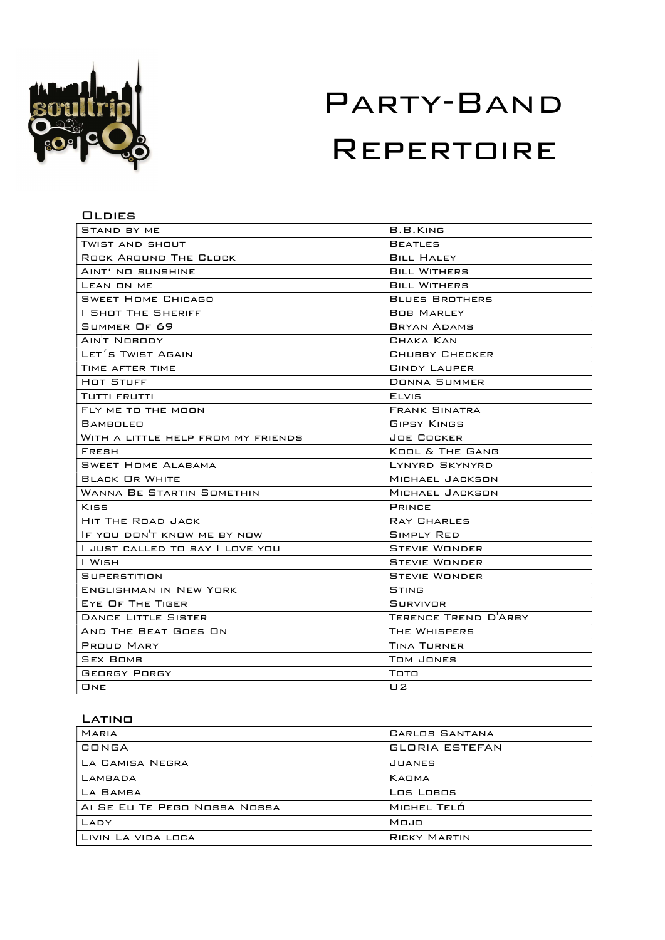

## **OLDIES**

| STAND BY ME                        | B.B.KING              |
|------------------------------------|-----------------------|
| Twist and shout                    | <b>BEATLES</b>        |
| <b>ROCK AROUND THE CLOCK</b>       | <b>BILL HALEY</b>     |
| AINT' NO SUNSHINE                  | <b>BILL WITHERS</b>   |
| LEAN ON ME                         | <b>BILL WITHERS</b>   |
| <b>SWEET HOME CHICAGO</b>          | <b>BLUES BROTHERS</b> |
| I SHOT THE SHERIFF                 | <b>BOB MARLEY</b>     |
| SUMMER OF 69                       | <b>BRYAN ADAMS</b>    |
|                                    | CHAKA KAN             |
| LET'S TWIST AGAIN                  | CHUBBY CHECKER        |
| TIME AFTER TIME                    | CINDY LAUPER          |
| HOT STUFF                          | <b>DONNA SUMMER</b>   |
| TUTTI FRUTTI                       | ELVIS                 |
| FLY ME TO THE MOON                 | <b>FRANK SINATRA</b>  |
| BAMBOLEO                           | <b>GIPSY KINGS</b>    |
| WITH A LITTLE HELP FROM MY FRIENDS | JOE COCKER            |
| <b>FRESH</b>                       | KOOL & THE GANG       |
| <b>SWEET HOME ALABAMA</b>          | LYNYRD SKYNYRD        |
| <b>BLACK OR WHITE</b>              | MICHAEL JACKSON       |
| WANNA BE STARTIN SOMETHIN          | MICHAEL JACKSON       |
| Kiss                               | <b>PRINCE</b>         |
| HIT THE ROAD JACK                  | <b>RAY CHARLES</b>    |
| IF YOU DON'T KNOW ME BY NOW        | <b>SIMPLY RED</b>     |
| I JUST CALLED TO SAY I LOVE YOU    | <b>STEVIE WONDER</b>  |
| l Wish                             | <b>STEVIE WONDER</b>  |
| SUPERSTITION                       | <b>STEVIE WONDER</b>  |
| ENGLISHMAN IN NEW YORK             | STING                 |
| EYE OF THE TIGER                   | SURVIVOR              |
| <b>DANCE LITTLE SISTER</b>         | TERENCE TREND D'ARBY  |
| AND THE BEAT GOES ON               | THE WHISPERS          |
| <b>PROUD MARY</b>                  | TINA TURNER           |
| <b>SEX BOMB</b>                    | Tom Jones             |
| <b>GEORGY PORGY</b>                | Тото                  |
| ONE                                | U2                    |

# **LATINO**

| <b>MARIA</b>                 | CARLOS SANTANA        |
|------------------------------|-----------------------|
| CONGA                        | <b>GLORIA ESTEFAN</b> |
| LA CAMISA NEGRA              | JUANES                |
| LAMBADA                      | KADMA                 |
| LA BAMBA                     | Los Lobos             |
| AI SE EU TE PEGO NOSSA NOSSA | MICHEL TELÓ           |
| LADY                         | Mojo                  |
| LIVIN LA VIDA LOCA           | <b>RICKY MARTIN</b>   |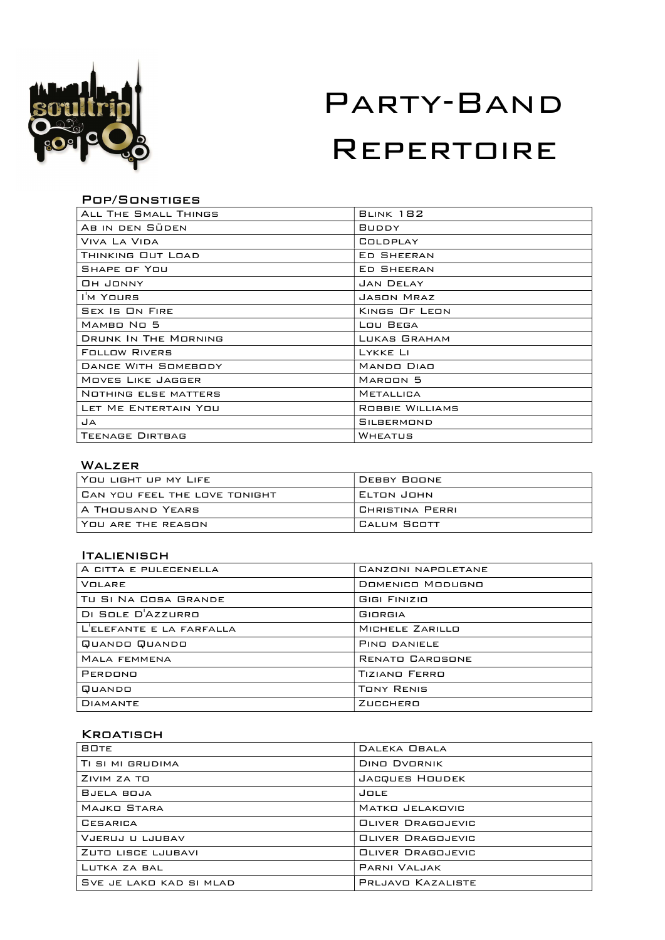

### Pop/Sonstiges

| ALL THE SMALL THINGS        | <b>BLINK 182</b>    |
|-----------------------------|---------------------|
| AB IN DEN SÜDEN             | <b>BUDDY</b>        |
| VIVA LA VIDA                | COLDPLAY            |
| THINKING OUT LOAD           | <b>ED SHEERAN</b>   |
| SHAPE OF YOU                | <b>ED SHEERAN</b>   |
| Он Јомму                    | <b>JAN DELAY</b>    |
| I'M YOURS                   | JASON MRAZ          |
| <b>SEX IS ON FIRE</b>       | KINGS OF LEON       |
| MAMBO NO 5                  | LOU BEGA            |
| <b>DRUNK IN THE MORNING</b> | LUKAS GRAHAM        |
| <b>FOLLOW RIVERS</b>        | LYKKE LI            |
| <b>DANCE WITH SOMEBODY</b>  | <b>MANDO DIAD</b>   |
| <b>MOVES LIKE JAGGER</b>    | MAROON <sub>5</sub> |
| <b>NOTHING ELSE MATTERS</b> | <b>METALLICA</b>    |
| LET ME ENTERTAIN YOU        | ROBBIE WILLIAMS     |
| JA                          | <b>SILBERMOND</b>   |
| <b>TEENAGE DIRTBAG</b>      | WHEATUS             |

## Walzer

| l You Light up my Life        | DEBBY BOONE     |
|-------------------------------|-----------------|
| CAN YOU FEEL THE LOVE TONIGHT | ELTON JOHN      |
| A THOUSAND YEARS              | CHRISTINA PERRI |
| YOU ARE THE REASON            | CALUM SCOTT     |

### **ITALIENISCH**

| A CITTA E PULECENELLA    | CANZONI NAPOLETANE      |
|--------------------------|-------------------------|
| <b>VOLARE</b>            | <b>DOMENICO MODUGNO</b> |
| TU SI NA COSA GRANDE     | <b>GIGI FINIZIO</b>     |
| DI SOLE D'AZZURRO        | GIORGIA                 |
| L'ELEFANTE E LA FARFALLA | MICHELE ZARILLO         |
| QUANDO QUANDO            | PIND DANIELE            |
| <b>MALA FEMMENA</b>      | <b>RENATO CAROSONE</b>  |
| PERDONO                  | <b>TIZIANO FERRO</b>    |
| QUANDO                   | <b>TONY RENIS</b>       |
| <b>DIAMANTE</b>          | ZUCCHERO                |

### KROATISCH

| <b>BOTE</b>             | DALEKA OBALA             |
|-------------------------|--------------------------|
| TI SI MI GRUDIMA        | <b>DING DVORNIK</b>      |
| ZIVIM ZA TO             | JACQUES HOUDEK           |
| BJELA BOJA              | JOLE                     |
| MAJKO STARA             | MATKO JELAKOVIC          |
| CESARICA                | <b>OLIVER DRAGOJEVIC</b> |
| VJERUJ U LJUBAV         | <b>OLIVER DRAGOJEVIC</b> |
| ZUTO LISCE LJUBAVI      | <b>OLIVER DRAGOJEVIC</b> |
| LUTKA ZA BAL            | PARNI VALJAK             |
| SVE JE LAKO KAD SI MLAD | PRLJAVO KAZALISTE        |